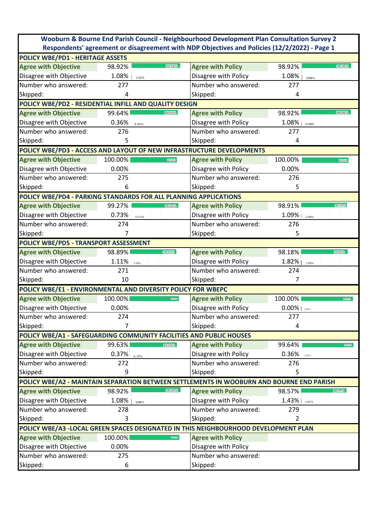|                                                                                              |                   |                           | Wooburn & Bourne End Parish Council - Neighbourhood Development Plan Consultation Survey 2 |                    |  |  |
|----------------------------------------------------------------------------------------------|-------------------|---------------------------|--------------------------------------------------------------------------------------------|--------------------|--|--|
| Respondents' agreement or disagreement with NDP Objectives and Policies (12/2/2022) - Page 1 |                   |                           |                                                                                            |                    |  |  |
| POLICY WBE/PD1 - HERITAGE ASSETS                                                             |                   |                           |                                                                                            |                    |  |  |
| <b>Agree with Objective</b>                                                                  | 98.92%            | 98.92%                    | <b>Agree with Policy</b>                                                                   | 98.92%<br>98.92%   |  |  |
| Disagree with Objective                                                                      | 1.08%             | 1.08%                     | Disagree with Policy                                                                       | 1.08%<br>1.08%     |  |  |
| Number who answered:                                                                         | 277               |                           | Number who answered:                                                                       | 277                |  |  |
| Skipped:                                                                                     | 4                 |                           | Skipped:                                                                                   | 4                  |  |  |
| POLICY WBE/PD2 - RESIDENTIAL INFILL AND QUALITY DESIGN                                       |                   |                           |                                                                                            |                    |  |  |
| <b>Agree with Objective</b>                                                                  | 99.64%            | 99.64%                    | <b>Agree with Policy</b>                                                                   | 98.92%<br>98.92%   |  |  |
| Disagree with Objective                                                                      | $0.36\%$<br>0.36% |                           | Disagree with Policy                                                                       | 1.08%<br>1.08%     |  |  |
| Number who answered:                                                                         | 276               |                           | Number who answered:                                                                       | 277                |  |  |
| Skipped:                                                                                     | 5                 |                           | Skipped:                                                                                   | 4                  |  |  |
| POLICY WBE/PD3 - ACCESS AND LAYOUT OF NEW INFRASTRUCTURE DEVELOPMENTS                        |                   |                           |                                                                                            |                    |  |  |
| <b>Agree with Objective</b>                                                                  | 100.00%           | 100.00%                   | <b>Agree with Policy</b>                                                                   | 100.00%<br>100.00% |  |  |
| Disagree with Objective                                                                      | 0.00%             |                           | Disagree with Policy                                                                       | 0.00%              |  |  |
| Number who answered:                                                                         | 275               |                           | Number who answered:                                                                       | 276                |  |  |
| Skipped:                                                                                     | 6                 |                           | Skipped:                                                                                   | 5                  |  |  |
| POLICY WBE/PD4 - PARKING STANDARDS FOR ALL PLANNING APPLICATIONS                             |                   |                           |                                                                                            |                    |  |  |
| <b>Agree with Objective</b>                                                                  | 99.27%            | 99.27%                    | <b>Agree with Policy</b>                                                                   | 98.91%<br>98.91%   |  |  |
| Disagree with Objective                                                                      | 0.73%             | 0.73%                     | Disagree with Policy                                                                       | 1.09%<br>1.09%     |  |  |
| Number who answered:                                                                         | 274               |                           | Number who answered:                                                                       | 276                |  |  |
| Skipped:                                                                                     | 7                 |                           | Skipped:                                                                                   | 5                  |  |  |
| POLICY WBE/PD5 - TRANSPORT ASSESSMENT                                                        |                   |                           |                                                                                            |                    |  |  |
| <b>Agree with Objective</b>                                                                  | 98.89%            | 98.89%                    | <b>Agree with Policy</b>                                                                   | 98.18%<br>98.18%   |  |  |
| Disagree with Objective                                                                      | $1.11\%$ 1.11%    |                           | Disagree with Policy                                                                       | $1.82\%$<br>1.82%  |  |  |
| Number who answered:                                                                         | 271               |                           | Number who answered:                                                                       | 274                |  |  |
| Skipped:                                                                                     | 10                |                           | Skipped:                                                                                   | 7                  |  |  |
| POLICY WBE/E1 - ENVIRONMENTAL AND DIVERSITY POLICY FOR WBEPC                                 |                   |                           |                                                                                            |                    |  |  |
| <b>Agree with Objective</b>                                                                  | 100.00%           | 120,000                   | <b>Agree with Policy</b>                                                                   | 100.00%<br>93.11%  |  |  |
| Disagree with Objective                                                                      | 0.00%             |                           | Disagree with Policy                                                                       | $0.00\%$   1.89%   |  |  |
| Number who answered:                                                                         | 274               |                           | Number who answered:                                                                       | 277                |  |  |
| Skipped:                                                                                     | 7                 |                           | Skipped:                                                                                   | 4                  |  |  |
| POLICY WBE/A1 - SAFEGUARDING COMMUNITY FACILITIES AND PUBLIC HOUSES                          |                   |                           |                                                                                            |                    |  |  |
| <b>Agree with Objective</b>                                                                  | 99.63%            | 99.63%                    | <b>Agree with Policy</b>                                                                   | 99.64%<br>99.63%   |  |  |
| Disagree with Objective                                                                      | 0.37%<br>0.37%    |                           | Disagree with Policy                                                                       | 0.36%<br>0.37%     |  |  |
| Number who answered:                                                                         | 272               |                           | Number who answered:                                                                       | 276                |  |  |
| Skipped:                                                                                     | 9                 |                           | Skipped:                                                                                   | 5                  |  |  |
| POLICY WBE/A2 - MAINTAIN SEPARATION BETWEEN SETTLEMENTS IN WOOBURN AND BOURNE END PARISH     |                   |                           |                                                                                            |                    |  |  |
| <b>Agree with Objective</b>                                                                  | 98.92%            | 98.92%                    | <b>Agree with Policy</b>                                                                   | 98.57%<br>98.57%   |  |  |
| Disagree with Objective                                                                      | 1.08%             | 1.08%                     | Disagree with Policy                                                                       | 1.43%<br>1.43%     |  |  |
| Number who answered:                                                                         | 278               |                           | Number who answered:                                                                       | 279                |  |  |
| Skipped:                                                                                     | 3                 |                           | Skipped:                                                                                   | $\overline{2}$     |  |  |
| POLICY WBE/A3 -LOCAL GREEN SPACES DESIGNATED IN THIS NEIGHBOURHOOD DEVELOPMENT PLAN          |                   |                           |                                                                                            |                    |  |  |
| <b>Agree with Objective</b>                                                                  | 100.00%           | $\overline{\text{cocos}}$ | <b>Agree with Policy</b>                                                                   |                    |  |  |
| Disagree with Objective                                                                      | 0.00%             |                           | Disagree with Policy                                                                       |                    |  |  |
| Number who answered:                                                                         | 275               |                           | Number who answered:                                                                       |                    |  |  |
| Skipped:                                                                                     | 6                 |                           | Skipped:                                                                                   |                    |  |  |